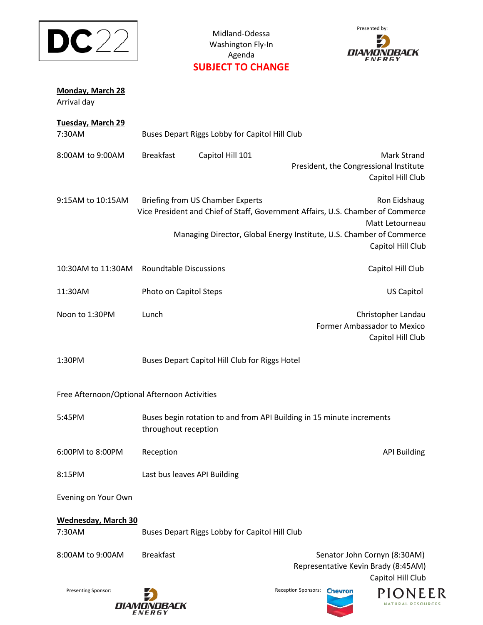

Midland-Odessa Washington Fly-In Agenda **SUBJECT TO CHANGE**



| Monday, March 28<br>Arrival day              |                                                                                                                                                               |                                                |                                                                                           |  |  |
|----------------------------------------------|---------------------------------------------------------------------------------------------------------------------------------------------------------------|------------------------------------------------|-------------------------------------------------------------------------------------------|--|--|
| <b>Tuesday, March 29</b><br>7:30AM           | Buses Depart Riggs Lobby for Capitol Hill Club                                                                                                                |                                                |                                                                                           |  |  |
| 8:00AM to 9:00AM                             | <b>Breakfast</b>                                                                                                                                              | Capitol Hill 101                               | <b>Mark Strand</b><br>President, the Congressional Institute<br>Capitol Hill Club         |  |  |
| 9:15AM to 10:15AM                            | <b>Briefing from US Chamber Experts</b><br>Ron Eidshaug<br>Vice President and Chief of Staff, Government Affairs, U.S. Chamber of Commerce<br>Matt Letourneau |                                                |                                                                                           |  |  |
|                                              |                                                                                                                                                               |                                                | Managing Director, Global Energy Institute, U.S. Chamber of Commerce<br>Capitol Hill Club |  |  |
| 10:30AM to 11:30AM                           | <b>Roundtable Discussions</b>                                                                                                                                 |                                                | Capitol Hill Club                                                                         |  |  |
| 11:30AM                                      | Photo on Capitol Steps                                                                                                                                        |                                                | <b>US Capitol</b>                                                                         |  |  |
| Noon to 1:30PM                               | Lunch                                                                                                                                                         |                                                | Christopher Landau<br>Former Ambassador to Mexico<br>Capitol Hill Club                    |  |  |
| 1:30PM                                       |                                                                                                                                                               | Buses Depart Capitol Hill Club for Riggs Hotel |                                                                                           |  |  |
| Free Afternoon/Optional Afternoon Activities |                                                                                                                                                               |                                                |                                                                                           |  |  |
| 5:45PM                                       | throughout reception                                                                                                                                          |                                                | Buses begin rotation to and from API Building in 15 minute increments                     |  |  |
| 6:00PM to 8:00PM                             | Reception                                                                                                                                                     |                                                | <b>API Building</b>                                                                       |  |  |
| 8:15PM                                       | Last bus leaves API Building                                                                                                                                  |                                                |                                                                                           |  |  |
| Evening on Your Own                          |                                                                                                                                                               |                                                |                                                                                           |  |  |
| <b>Wednesday, March 30</b><br>7:30AM         |                                                                                                                                                               | Buses Depart Riggs Lobby for Capitol Hill Club |                                                                                           |  |  |
| 8:00AM to 9:00AM                             | <b>Breakfast</b>                                                                                                                                              |                                                | Senator John Cornyn (8:30AM)<br>Representative Kevin Brady (8:45AM)<br>Capitol Hill Club  |  |  |